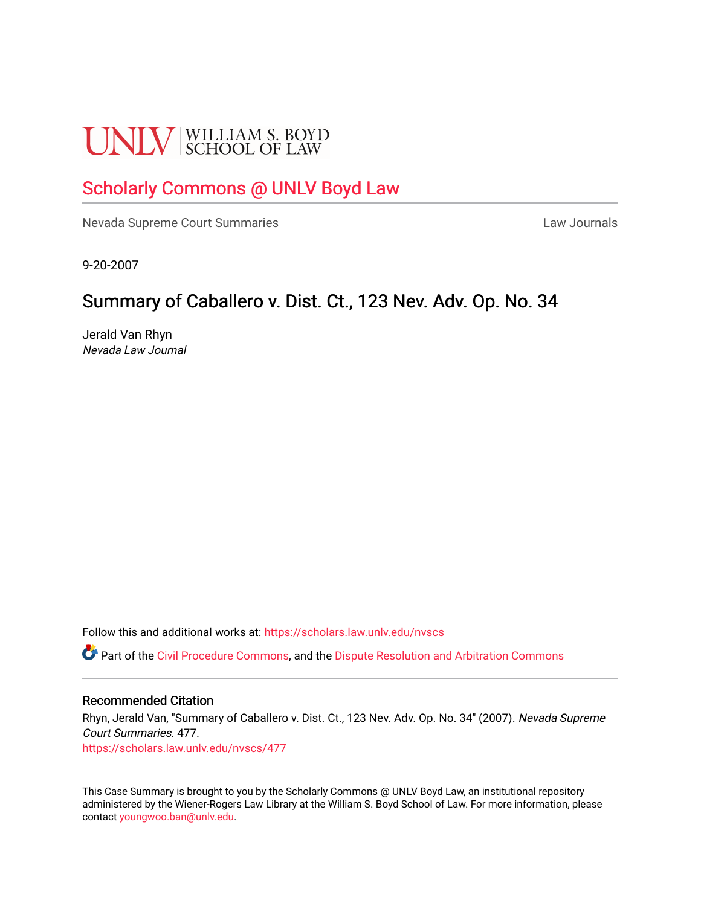# **UNLV** SCHOOL OF LAW

## [Scholarly Commons @ UNLV Boyd Law](https://scholars.law.unlv.edu/)

[Nevada Supreme Court Summaries](https://scholars.law.unlv.edu/nvscs) **Law Journals** Law Journals

9-20-2007

## Summary of Caballero v. Dist. Ct., 123 Nev. Adv. Op. No. 34

Jerald Van Rhyn Nevada Law Journal

Follow this and additional works at: [https://scholars.law.unlv.edu/nvscs](https://scholars.law.unlv.edu/nvscs?utm_source=scholars.law.unlv.edu%2Fnvscs%2F477&utm_medium=PDF&utm_campaign=PDFCoverPages)

**C** Part of the [Civil Procedure Commons,](http://network.bepress.com/hgg/discipline/584?utm_source=scholars.law.unlv.edu%2Fnvscs%2F477&utm_medium=PDF&utm_campaign=PDFCoverPages) and the Dispute Resolution and Arbitration Commons

#### Recommended Citation

Rhyn, Jerald Van, "Summary of Caballero v. Dist. Ct., 123 Nev. Adv. Op. No. 34" (2007). Nevada Supreme Court Summaries. 477. [https://scholars.law.unlv.edu/nvscs/477](https://scholars.law.unlv.edu/nvscs/477?utm_source=scholars.law.unlv.edu%2Fnvscs%2F477&utm_medium=PDF&utm_campaign=PDFCoverPages)

This Case Summary is brought to you by the Scholarly Commons @ UNLV Boyd Law, an institutional repository administered by the Wiener-Rogers Law Library at the William S. Boyd School of Law. For more information, please contact [youngwoo.ban@unlv.edu](mailto:youngwoo.ban@unlv.edu).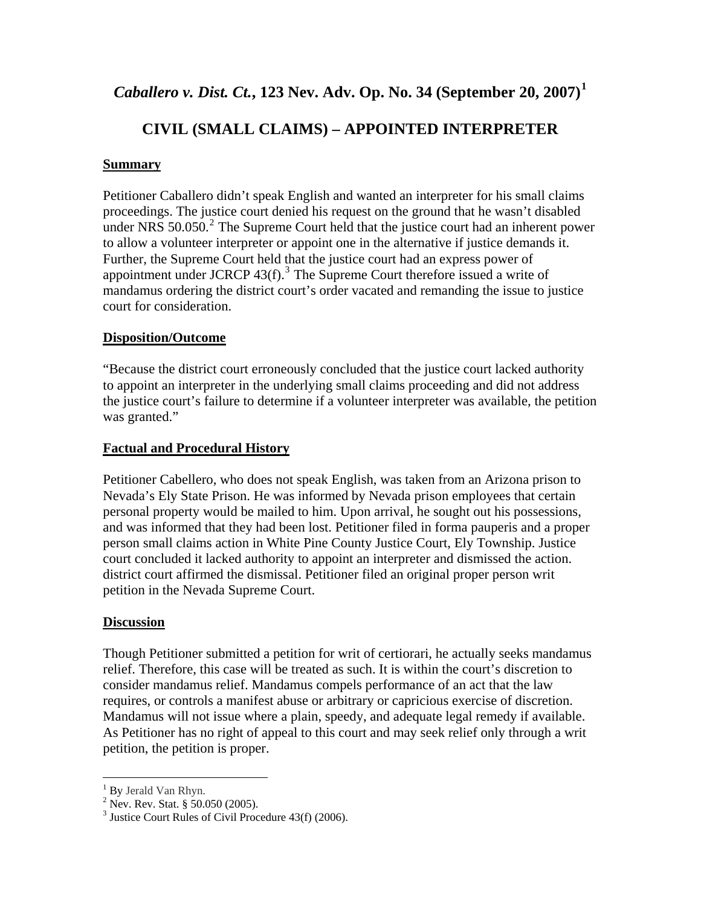### *Caballero v. Dist. Ct.***, 123 Nev. Adv. Op. No. 34 (September 20, 2007)[1](#page-1-0)**

## **CIVIL (SMALL CLAIMS) – APPOINTED INTERPRETER**

#### **Summary**

Petitioner Caballero didn't speak English and wanted an interpreter for his small claims proceedings. The justice court denied his request on the ground that he wasn't disabled under NRS  $50.050$ .<sup>[2](#page-1-1)</sup> The Supreme Court held that the justice court had an inherent power to allow a volunteer interpreter or appoint one in the alternative if justice demands it. Further, the Supreme Court held that the justice court had an express power of appointment under JCRCP  $43(f)$  $43(f)$  $43(f)$ .<sup>3</sup> The Supreme Court therefore issued a write of mandamus ordering the district court's order vacated and remanding the issue to justice court for consideration.

#### **Disposition/Outcome**

"Because the district court erroneously concluded that the justice court lacked authority to appoint an interpreter in the underlying small claims proceeding and did not address the justice court's failure to determine if a volunteer interpreter was available, the petition was granted."

#### **Factual and Procedural History**

Petitioner Cabellero, who does not speak English, was taken from an Arizona prison to Nevada's Ely State Prison. He was informed by Nevada prison employees that certain personal property would be mailed to him. Upon arrival, he sought out his possessions, and was informed that they had been lost. Petitioner filed in forma pauperis and a proper person small claims action in White Pine County Justice Court, Ely Township. Justice court concluded it lacked authority to appoint an interpreter and dismissed the action. district court affirmed the dismissal. Petitioner filed an original proper person writ petition in the Nevada Supreme Court.

#### **Discussion**

Though Petitioner submitted a petition for writ of certiorari, he actually seeks mandamus relief. Therefore, this case will be treated as such. It is within the court's discretion to consider mandamus relief. Mandamus compels performance of an act that the law requires, or controls a manifest abuse or arbitrary or capricious exercise of discretion. Mandamus will not issue where a plain, speedy, and adequate legal remedy if available. As Petitioner has no right of appeal to this court and may seek relief only through a writ petition, the petition is proper.

 $\overline{a}$ 

<span id="page-1-0"></span> $\frac{1}{2}$  By Jerald Van Rhyn.

<span id="page-1-1"></span> $^{2}$  Nev. Rev. Stat. § 50.050 (2005).

<span id="page-1-2"></span><sup>&</sup>lt;sup>3</sup> Justice Court Rules of Civil Procedure  $43(f)$  (2006).